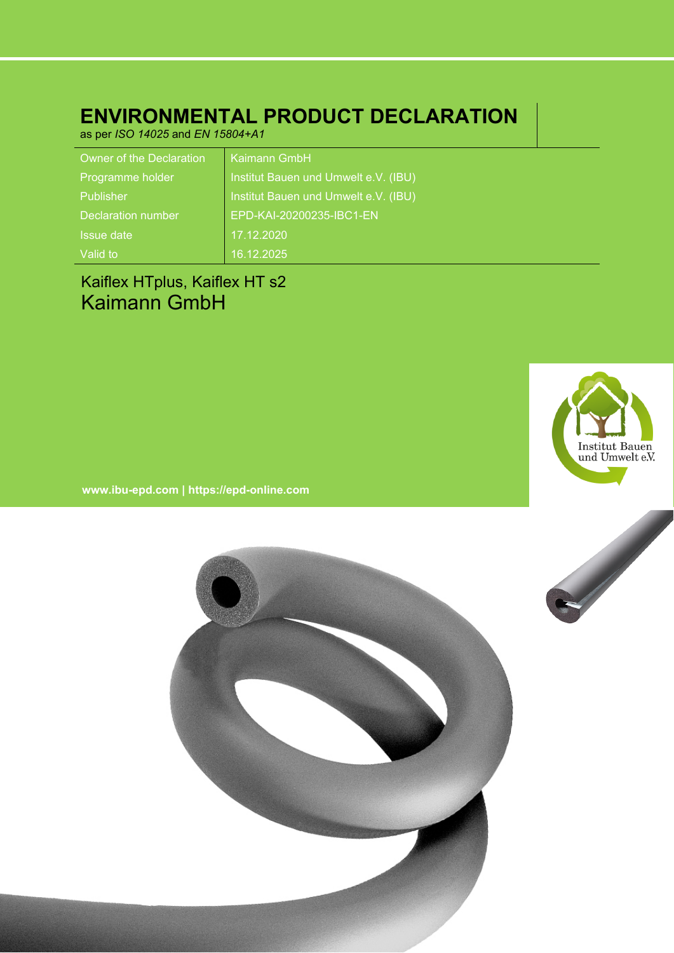# **ENVIRONMENTAL PRODUCT DECLARATION**

as per *ISO 14025* and *EN 15804+A1*

| <b>Owner of the Declaration</b> | Kaimann GmbH                         |
|---------------------------------|--------------------------------------|
| Programme holder                | Institut Bauen und Umwelt e.V. (IBU) |
| Publisher                       | Institut Bauen und Umwelt e.V. (IBU) |
| Declaration number              | EPD-KAI-20200235-IBC1-EN             |
| Issue date                      | 17.12.2020                           |
| Valid to                        | 16.12.2025                           |

# Kaiflex HTplus, Kaiflex HT s2 Kaimann GmbH



**www.ibu-epd.com | https://epd-online.com**

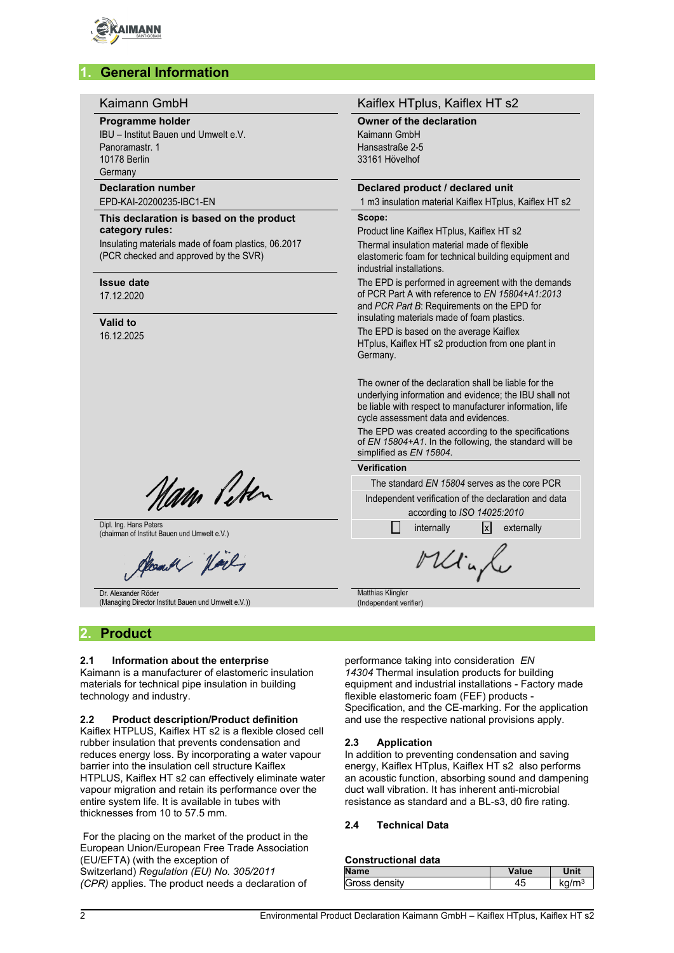

# **1. General Information**

#### Kaimann GmbH **Kaiflex HTplus, Kaiflex HT** s2 **Programme holder Owner of the declaration** IBU – Institut Bauen und Umwelt e.V. Kaimann GmbH Hansastraße 2-5 Panoramastr. 1 33161 Hövelhof 10178 Berlin **Germany Declaration number Declared product / declared unit** EPD-KAI-20200235-IBC1-EN 1 m3 insulation material Kaiflex HTplus, Kaiflex HT s2 **Scope: This declaration is based on the product category rules:** Product line Kaiflex HTplus, Kaiflex HT s2 Insulating materials made of foam plastics, 06.2017 Thermal insulation material made of flexible (PCR checked and approved by the SVR) elastomeric foam for technical building equipment and industrial installations. **Issue date** The EPD is performed in agreement with the demands of PCR Part A with reference to *EN 15804+A1:2013* 17.12.2020 and *PCR Part B*: Requirements on the EPD for insulating materials made of foam plastics. **Valid to** The EPD is based on the average Kaiflex 16.12.2025 HTplus, Kaiflex HT s2 production from one plant in Germany. The owner of the declaration shall be liable for the underlying information and evidence; the IBU shall not be liable with respect to manufacturer information, life cycle assessment data and evidences. The EPD was created according to the specifications of *EN 15804+A1*. In the following, the standard will be simplified as *EN 15804*. **Verification** Nam Peter The standard *EN 15804* serves as the core PCR Independent verification of the declaration and data according to *ISO 14025:2010* Dipl. Ing. Hans Peters Dipl. Ing. Hans Peters and Umwelt e.V.) internally internally internally  $\Box$  internally  $\Box$  externally externally Minfe Mand Norly Dr. Alexander Röder **Matthias Klingler** (Managing Director Institut Bauen und Umwelt e.V.)) (Independent verifier)

## **2. Product**

## **2.1 Information about the enterprise**

Kaimann is a manufacturer of elastomeric insulation materials for technical pipe insulation in building technology and industry.

#### **2.2 Product description/Product definition**

Kaiflex HTPLUS, Kaiflex HT s2 is a flexible closed cell rubber insulation that prevents condensation and reduces energy loss. By incorporating a water vapour barrier into the insulation cell structure Kaiflex HTPLUS, Kaiflex HT s2 can effectively eliminate water vapour migration and retain its performance over the entire system life. It is available in tubes with thicknesses from 10 to 57.5 mm.

For the placing on the market of the product in the European Union/European Free Trade Association (EU/EFTA) (with the exception of Switzerland) *Regulation (EU) No. 305/2011 (CPR)* applies. The product needs a declaration of

performance taking into consideration *EN 14304* Thermal insulation products for building equipment and industrial installations - Factory made flexible elastomeric foam (FEF) products - Specification, and the CE-marking. For the application and use the respective national provisions apply.

#### **2.3 Application**

In addition to preventing condensation and saving energy, Kaiflex HTplus, Kaiflex HT s2 also performs an acoustic function, absorbing sound and dampening duct wall vibration. It has inherent anti-microbial resistance as standard and a BL-s3, d0 fire rating.

## **2.4 Technical Data**

#### **Constructional data**

| <b>Name</b>   | Value  | Unit  |
|---------------|--------|-------|
| Gross density | $\sim$ | ka/mj |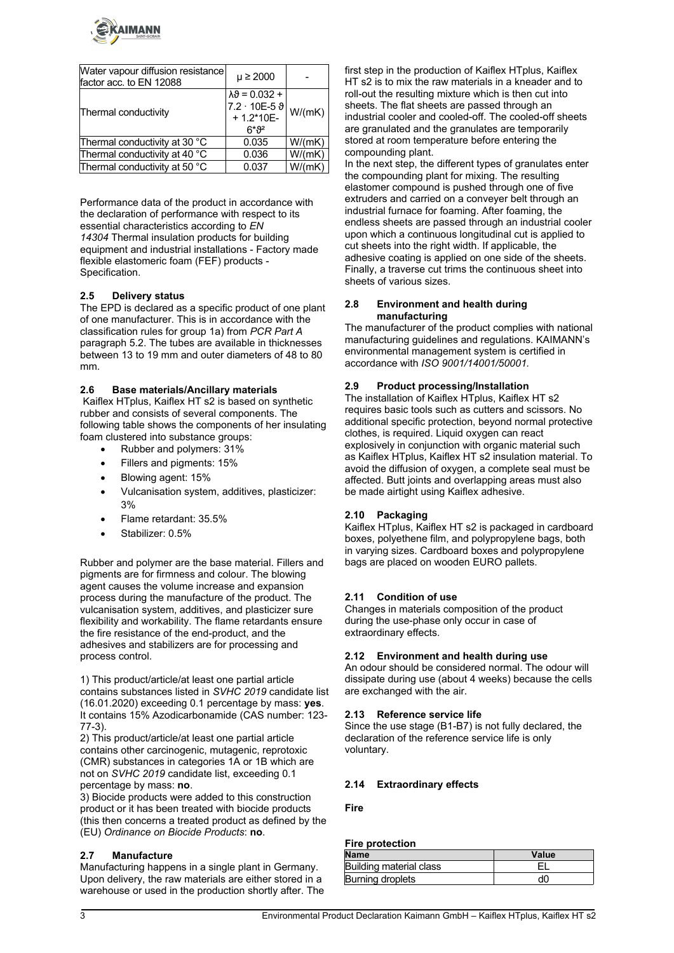

| Water vapour diffusion resistance<br>factor acc. to EN 12088 | $\mu \ge 2000$                                                                                 |        |
|--------------------------------------------------------------|------------------------------------------------------------------------------------------------|--------|
| Thermal conductivity                                         | $\lambda \vartheta = 0.032 +$<br>$7.2 \cdot 10E - 5 \vartheta$<br>$+1.2*10E-$<br><u>  ና*ን²</u> | W/(mK) |
| Thermal conductivity at 30 °C                                | 0.035                                                                                          | W/(mK) |
| Thermal conductivity at 40 °C                                | 0.036                                                                                          | W/(mK) |
| Thermal conductivity at 50 °C                                | 0.037                                                                                          | W/(mK) |

Performance data of the product in accordance with the declaration of performance with respect to its essential characteristics according to *EN 14304* Thermal insulation products for building equipment and industrial installations - Factory made flexible elastomeric foam (FEF) products - Specification.

## **2.5 Delivery status**

The EPD is declared as a specific product of one plant of one manufacturer. This is in accordance with the classification rules for group 1a) from *PCR Part A* paragraph 5.2. The tubes are available in thicknesses between 13 to 19 mm and outer diameters of 48 to 80 mm.

#### **2.6 Base materials/Ancillary materials**

Kaiflex HTplus, Kaiflex HT s2 is based on synthetic rubber and consists of several components. The following table shows the components of her insulating foam clustered into substance groups:

- Rubber and polymers: 31%
- Fillers and pigments: 15%
- Blowing agent: 15%
- Vulcanisation system, additives, plasticizer: 3%
- Flame retardant: 35.5%
- Stabilizer: 0.5%

Rubber and polymer are the base material. Fillers and pigments are for firmness and colour. The blowing agent causes the volume increase and expansion process during the manufacture of the product. The vulcanisation system, additives, and plasticizer sure flexibility and workability. The flame retardants ensure the fire resistance of the end-product, and the adhesives and stabilizers are for processing and process control.

1) This product/article/at least one partial article contains substances listed in *SVHC 2019* candidate list (16.01.2020) exceeding 0.1 percentage by mass: **yes**. It contains 15% Azodicarbonamide (CAS number: 123-77-3).

2) This product/article/at least one partial article contains other carcinogenic, mutagenic, reprotoxic (CMR) substances in categories 1A or 1B which are not on *SVHC 2019* candidate list, exceeding 0.1 percentage by mass: **no**.

3) Biocide products were added to this construction product or it has been treated with biocide products (this then concerns a treated product as defined by the (EU) *Ordinance on Biocide Products*: **no**.

## **2.7 Manufacture**

Manufacturing happens in a single plant in Germany. Upon delivery, the raw materials are either stored in a warehouse or used in the production shortly after. The

first step in the production of Kaiflex HTplus, Kaiflex HT s2 is to mix the raw materials in a kneader and to roll-out the resulting mixture which is then cut into sheets. The flat sheets are passed through an industrial cooler and cooled-off. The cooled-off sheets are granulated and the granulates are temporarily stored at room temperature before entering the compounding plant.

In the next step, the different types of granulates enter the compounding plant for mixing. The resulting elastomer compound is pushed through one of five extruders and carried on a conveyer belt through an industrial furnace for foaming. After foaming, the endless sheets are passed through an industrial cooler upon which a continuous longitudinal cut is applied to cut sheets into the right width. If applicable, the adhesive coating is applied on one side of the sheets. Finally, a traverse cut trims the continuous sheet into sheets of various sizes.

### **2.8 Environment and health during manufacturing**

The manufacturer of the product complies with national manufacturing guidelines and regulations. KAIMANN's environmental management system is certified in accordance with *ISO 9001/14001/50001.*

## **2.9 Product processing/Installation**

The installation of Kaiflex HTplus, Kaiflex HT s2 requires basic tools such as cutters and scissors. No additional specific protection, beyond normal protective clothes, is required. Liquid oxygen can react explosively in conjunction with organic material such as Kaiflex HTplus, Kaiflex HT s2 insulation material. To avoid the diffusion of oxygen, a complete seal must be affected. Butt joints and overlapping areas must also be made airtight using Kaiflex adhesive.

## **2.10 Packaging**

Kaiflex HTplus, Kaiflex HT s2 is packaged in cardboard boxes, polyethene film, and polypropylene bags, both in varying sizes. Cardboard boxes and polypropylene bags are placed on wooden EURO pallets.

## **2.11 Condition of use**

Changes in materials composition of the product during the use-phase only occur in case of extraordinary effects.

## **2.12 Environment and health during use**

An odour should be considered normal. The odour will dissipate during use (about 4 weeks) because the cells are exchanged with the air.

#### **2.13 Reference service life**

Since the use stage (B1-B7) is not fully declared, the declaration of the reference service life is only voluntary.

## **2.14 Extraordinary effects**

**Fire**

#### **Fire protection**

| Name                    | Value |
|-------------------------|-------|
| Building material class |       |
| Burning droplets        | dľ    |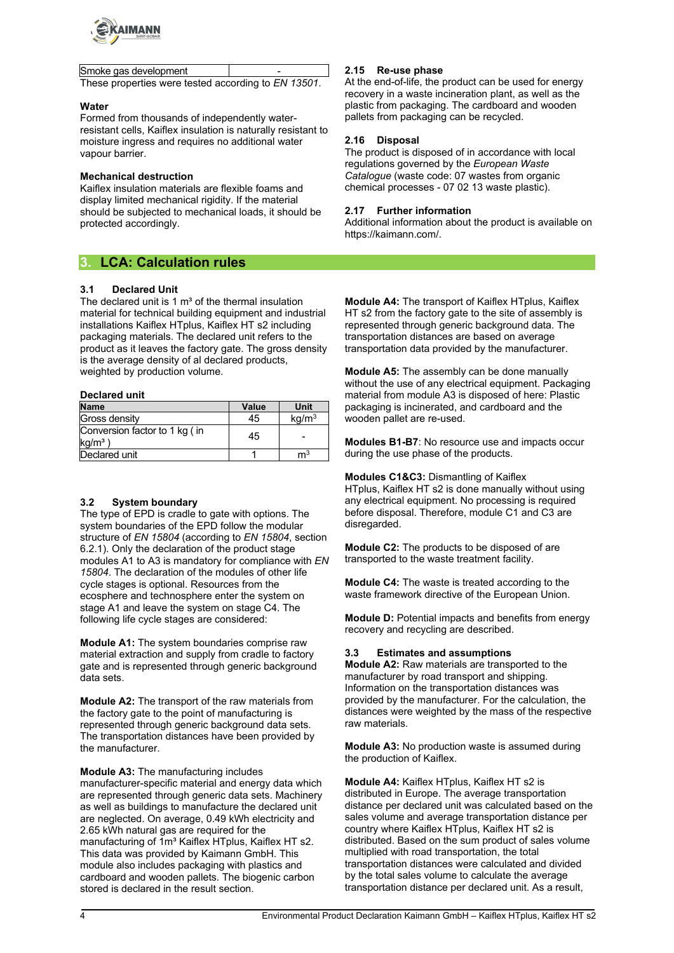

Smoke gas development These properties were tested according to *EN 13501*.

#### **Water**

Formed from thousands of independently waterresistant cells, Kaiflex insulation is naturally resistant to moisture ingress and requires no additional water vapour barrier.

## **Mechanical destruction**

Kaiflex insulation materials are flexible foams and display limited mechanical rigidity. If the material should be subjected to mechanical loads, it should be protected accordingly.

# **3. LCA: Calculation rules**

## **3.1 Declared Unit**

The declared unit is 1  $m<sup>3</sup>$  of the thermal insulation material for technical building equipment and industrial installations Kaiflex HTplus, Kaiflex HT s2 including packaging materials. The declared unit refers to the product as it leaves the factory gate. The gross density is the average density of al declared products, weighted by production volume.

### **Declared unit**

| <b>Name</b>                                | Value | Unit              |
|--------------------------------------------|-------|-------------------|
| Gross density                              | 45    | kg/m <sup>3</sup> |
| Conversion factor to 1 kg (in<br>$kg/m3$ ) | 45    |                   |
| Declared unit                              |       | ${\sf m}^3$       |

## **3.2 System boundary**

The type of EPD is cradle to gate with options. The system boundaries of the EPD follow the modular structure of *EN 15804* (according to *EN 15804*, section 6.2.1). Only the declaration of the product stage modules A1 to A3 is mandatory for compliance with *EN 15804*. The declaration of the modules of other life cycle stages is optional. Resources from the ecosphere and technosphere enter the system on stage A1 and leave the system on stage C4. The following life cycle stages are considered:

**Module A1:** The system boundaries comprise raw material extraction and supply from cradle to factory gate and is represented through generic background data sets.

**Module A2:** The transport of the raw materials from the factory gate to the point of manufacturing is represented through generic background data sets. The transportation distances have been provided by the manufacturer.

**Module A3:** The manufacturing includes manufacturer-specific material and energy data which are represented through generic data sets. Machinery as well as buildings to manufacture the declared unit are neglected. On average, 0.49 kWh electricity and 2.65 kWh natural gas are required for the manufacturing of 1m<sup>3</sup> Kaiflex HTplus, Kaiflex HT s2. This data was provided by Kaimann GmbH. This module also includes packaging with plastics and cardboard and wooden pallets. The biogenic carbon stored is declared in the result section.

## **2.15 Re-use phase**

At the end-of-life, the product can be used for energy recovery in a waste incineration plant, as well as the plastic from packaging. The cardboard and wooden pallets from packaging can be recycled.

## **2.16 Disposal**

The product is disposed of in accordance with local regulations governed by the *European Waste Catalogue* (waste code: 07 wastes from organic chemical processes - 07 02 13 waste plastic).

## **2.17 Further information**

Additional information about the product is available on https://kaimann.com/.

**Module A4:** The transport of Kaiflex HTplus, Kaiflex HT s2 from the factory gate to the site of assembly is represented through generic background data. The transportation distances are based on average transportation data provided by the manufacturer.

**Module A5:** The assembly can be done manually without the use of any electrical equipment. Packaging material from module A3 is disposed of here: Plastic packaging is incinerated, and cardboard and the wooden pallet are re-used.

**Modules B1-B7**: No resource use and impacts occur during the use phase of the products.

**Modules C1&C3:** Dismantling of Kaiflex HTplus, Kaiflex HT s2 is done manually without using any electrical equipment. No processing is required before disposal. Therefore, module C1 and C3 are disregarded.

**Module C2:** The products to be disposed of are transported to the waste treatment facility.

**Module C4:** The waste is treated according to the waste framework directive of the European Union.

**Module D:** Potential impacts and benefits from energy recovery and recycling are described.

## **3.3 Estimates and assumptions**

**Module A2:** Raw materials are transported to the manufacturer by road transport and shipping. Information on the transportation distances was provided by the manufacturer. For the calculation, the distances were weighted by the mass of the respective raw materials.

**Module A3:** No production waste is assumed during the production of Kaiflex.

**Module A4:** Kaiflex HTplus, Kaiflex HT s2 is distributed in Europe. The average transportation distance per declared unit was calculated based on the sales volume and average transportation distance per country where Kaiflex HTplus, Kaiflex HT s2 is distributed. Based on the sum product of sales volume multiplied with road transportation, the total transportation distances were calculated and divided by the total sales volume to calculate the average transportation distance per declared unit. As a result,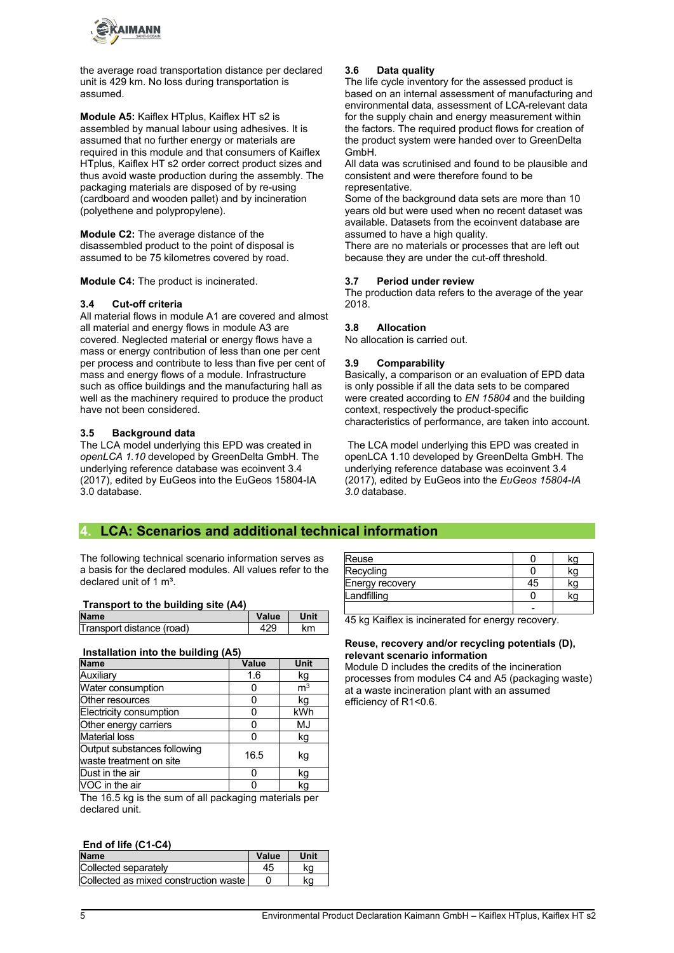

the average road transportation distance per declared unit is 429 km. No loss during transportation is assumed.

**Module A5:** Kaiflex HTplus, Kaiflex HT s2 is assembled by manual labour using adhesives. It is assumed that no further energy or materials are required in this module and that consumers of Kaiflex HTplus, Kaiflex HT s2 order correct product sizes and thus avoid waste production during the assembly. The packaging materials are disposed of by re-using (cardboard and wooden pallet) and by incineration (polyethene and polypropylene).

**Module C2:** The average distance of the disassembled product to the point of disposal is assumed to be 75 kilometres covered by road.

**Module C4:** The product is incinerated.

#### **3.4 Cut-off criteria**

All material flows in module A1 are covered and almost all material and energy flows in module A3 are covered. Neglected material or energy flows have a mass or energy contribution of less than one per cent per process and contribute to less than five per cent of mass and energy flows of a module. Infrastructure such as office buildings and the manufacturing hall as well as the machinery required to produce the product have not been considered.

### **3.5 Background data**

The LCA model underlying this EPD was created in *openLCA 1.10* developed by GreenDelta GmbH. The underlying reference database was ecoinvent 3.4 (2017), edited by EuGeos into the EuGeos 15804-IA 3.0 database.

## **3.6 Data quality**

The life cycle inventory for the assessed product is based on an internal assessment of manufacturing and environmental data, assessment of LCA-relevant data for the supply chain and energy measurement within the factors. The required product flows for creation of the product system were handed over to GreenDelta GmbH.

All data was scrutinised and found to be plausible and consistent and were therefore found to be representative.

Some of the background data sets are more than 10 years old but were used when no recent dataset was available. Datasets from the ecoinvent database are assumed to have a high quality.

There are no materials or processes that are left out because they are under the cut-off threshold.

#### **3.7 Period under review**

The production data refers to the average of the year 2018.

#### **3.8 Allocation**

No allocation is carried out.

### **3.9 Comparability**

Basically, a comparison or an evaluation of EPD data is only possible if all the data sets to be compared were created according to *EN 15804* and the building context, respectively the product-specific characteristics of performance, are taken into account.

The LCA model underlying this EPD was created in openLCA 1.10 developed by GreenDelta GmbH. The underlying reference database was ecoinvent 3.4 (2017), edited by EuGeos into the *EuGeos 15804-IA 3.0* database.

# **4. LCA: Scenarios and additional technical information**

The following technical scenario information serves as a basis for the declared modules. All values refer to the declared unit of 1  $m^3$ .

#### **Transport to the building site (A4)**

| <b>Name</b>               | Value | Jnit |
|---------------------------|-------|------|
| Transport distance (road) |       | km   |

### **Installation into the building (A5)**

| <b>Name</b>                                            | Value | Unit           |
|--------------------------------------------------------|-------|----------------|
| Auxiliary                                              | 1.6   | kg             |
| Water consumption                                      | 0     | m <sup>3</sup> |
| Other resources                                        | 0     | kg             |
| Electricity consumption                                | 0     | kWh            |
| Other energy carriers                                  | 0     | MJ             |
| <b>Material loss</b>                                   | ი     | kg             |
| Output substances following<br>waste treatment on site | 16.5  | kg             |
| Dust in the air                                        | 0     | kg             |
| VOC in the air                                         | n     | kg             |
| The 16.5 kg is the sum of all nackaging materials per  |       |                |

s the sum of all packaging materials pe declared unit.

#### **End of life (C1-C4)**

| <b>Name</b>                           | Value | Unit |
|---------------------------------------|-------|------|
| Collected separately                  |       | ka   |
| Collected as mixed construction waste |       | ka   |

| Reuse           |    | kg |
|-----------------|----|----|
| Recycling       |    | kg |
| Energy recovery | 45 | kg |
| Landfilling     |    | kq |
|                 |    |    |

45 kg Kaiflex is incinerated for energy recovery.

#### **Reuse, recovery and/or recycling potentials (D), relevant scenario information**

Module D includes the credits of the incineration processes from modules C4 and A5 (packaging waste) at a waste incineration plant with an assumed efficiency of R1<0.6.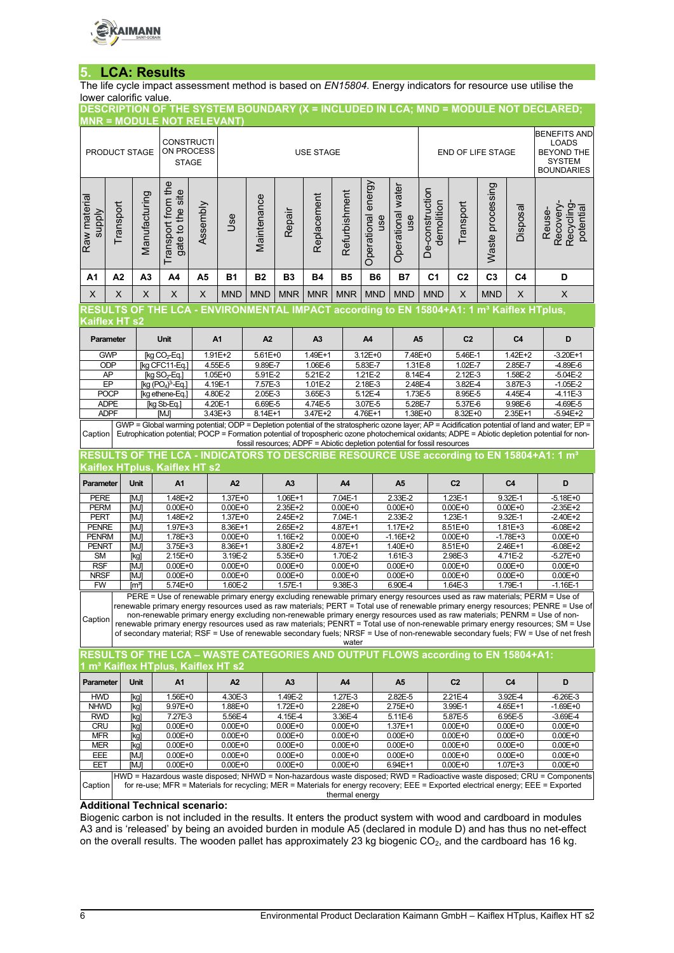

# **5. LCA: Results**

The life cycle impact assessment method is based on *EN15804*. Energy indicators for resource use utilise the lower calorific value.

|                               |                                                                                                                                                                                                                                                                                                                                                                                                                                                                                                                                                                                                                                                                           |                                                | <b>MNR = MODULE NOT RELEVANT)</b>                                                                    |          |                            |                                       |                            |                        |                            |                                                                           |                          |                               |                            |                  |                                                                                                | DESCRIPTION OF THE SYSTEM BOUNDARY (X = INCLUDED IN LCA; MND = MODULE NOT DECLARED;                                                                                                                                                                                                                |
|-------------------------------|---------------------------------------------------------------------------------------------------------------------------------------------------------------------------------------------------------------------------------------------------------------------------------------------------------------------------------------------------------------------------------------------------------------------------------------------------------------------------------------------------------------------------------------------------------------------------------------------------------------------------------------------------------------------------|------------------------------------------------|------------------------------------------------------------------------------------------------------|----------|----------------------------|---------------------------------------|----------------------------|------------------------|----------------------------|---------------------------------------------------------------------------|--------------------------|-------------------------------|----------------------------|------------------|------------------------------------------------------------------------------------------------|----------------------------------------------------------------------------------------------------------------------------------------------------------------------------------------------------------------------------------------------------------------------------------------------------|
|                               | PRODUCT STAGE                                                                                                                                                                                                                                                                                                                                                                                                                                                                                                                                                                                                                                                             |                                                | <b>CONSTRUCTI</b><br>ON PROCESS<br><b>STAGE</b>                                                      |          |                            | <b>USE STAGE</b><br>END OF LIFE STAGE |                            |                        |                            |                                                                           |                          |                               |                            |                  | <b>BENEFITS AND</b><br><b>LOADS</b><br><b>BEYOND THE</b><br><b>SYSTEM</b><br><b>BOUNDARIES</b> |                                                                                                                                                                                                                                                                                                    |
| Raw material<br><b>Alddns</b> | Transport                                                                                                                                                                                                                                                                                                                                                                                                                                                                                                                                                                                                                                                                 | Manufacturing                                  | Transport from the<br>gate to the site                                                               | Assembly | <b>Jse</b>                 | Maintenance                           | Repair                     | Replacement            | Refurbishment              | energy<br>Operational<br>use                                              | Operational water<br>use | De-construction<br>demolition | Transport                  | Waste processing | Disposal                                                                                       | Recovery-<br><b>Recycling</b><br>potential<br>Reuse-                                                                                                                                                                                                                                               |
| A1                            | A2                                                                                                                                                                                                                                                                                                                                                                                                                                                                                                                                                                                                                                                                        | A <sub>3</sub>                                 | A4                                                                                                   | A5       | <b>B1</b>                  | <b>B2</b>                             | <b>B3</b>                  | <b>B4</b>              | <b>B5</b>                  | <b>B6</b>                                                                 | <b>B7</b>                | C <sub>1</sub>                | C <sub>2</sub>             | C <sub>3</sub>   | C <sub>4</sub>                                                                                 | D                                                                                                                                                                                                                                                                                                  |
| X                             | X                                                                                                                                                                                                                                                                                                                                                                                                                                                                                                                                                                                                                                                                         | X                                              | X                                                                                                    | X        | <b>MND</b>                 | <b>MND</b>                            | <b>MNR</b>                 | <b>MNR</b>             | <b>MNR</b>                 | <b>MND</b>                                                                | <b>MND</b>               | <b>MND</b>                    | X                          | <b>MND</b>       | X                                                                                              | X                                                                                                                                                                                                                                                                                                  |
|                               |                                                                                                                                                                                                                                                                                                                                                                                                                                                                                                                                                                                                                                                                           |                                                | RESULTS OF THE LCA - ENVIRONMENTAL IMPACT according to EN 15804+A1: 1 m <sup>3</sup> Kaiflex HTplus, |          |                            |                                       |                            |                        |                            |                                                                           |                          |                               |                            |                  |                                                                                                |                                                                                                                                                                                                                                                                                                    |
| Kaiflex HT s2                 |                                                                                                                                                                                                                                                                                                                                                                                                                                                                                                                                                                                                                                                                           |                                                |                                                                                                      |          |                            |                                       |                            |                        |                            |                                                                           |                          |                               |                            |                  |                                                                                                |                                                                                                                                                                                                                                                                                                    |
|                               | Parameter                                                                                                                                                                                                                                                                                                                                                                                                                                                                                                                                                                                                                                                                 |                                                | <b>Unit</b>                                                                                          |          | A1                         | A2                                    |                            | A <sub>3</sub>         |                            | A4                                                                        | A <sub>5</sub>           |                               | C <sub>2</sub>             |                  | C <sub>4</sub>                                                                                 | D                                                                                                                                                                                                                                                                                                  |
|                               | <b>GWP</b><br>ODP                                                                                                                                                                                                                                                                                                                                                                                                                                                                                                                                                                                                                                                         |                                                | [kg CO <sub>2</sub> -Eq.]                                                                            |          | 1.91E+2<br>4.55E-5         | 5.61E+0<br>9.89E-7                    |                            | 1.49E+1<br>1.06E-6     |                            | $3.12E + 0$<br>5.83E-7                                                    | 7.48E+0<br>1.31E-8       |                               | 5.46E-1<br>1.02E-7         |                  | 1.42E+2<br>2.85E-7                                                                             | $-3.20E+1$<br>-4.89E-6                                                                                                                                                                                                                                                                             |
|                               | AP                                                                                                                                                                                                                                                                                                                                                                                                                                                                                                                                                                                                                                                                        |                                                | [kg CFC11-Eq.]<br>$[kg SO2-Eq.]$                                                                     |          | $1.05E + 0$                | 5.91E-2                               |                            | 5.21E-2                |                            | 1.21E-2                                                                   | 8.14E-4                  |                               | 2.12E-3                    |                  | 1.58E-2                                                                                        | $-5.04E-2$                                                                                                                                                                                                                                                                                         |
|                               | EP                                                                                                                                                                                                                                                                                                                                                                                                                                                                                                                                                                                                                                                                        |                                                | [kg $(PO4)3$ -Eq.]                                                                                   |          | 4.19E-1                    | 7.57E-3                               |                            | 1.01E-2                |                            | 2.18E-3                                                                   | 2.48E-4                  |                               | 3.82E-4                    |                  | 3.87E-3                                                                                        | $-1.05E - 2$                                                                                                                                                                                                                                                                                       |
|                               | <b>POCP</b>                                                                                                                                                                                                                                                                                                                                                                                                                                                                                                                                                                                                                                                               |                                                | [kg ethene-Eq.]                                                                                      |          | 4.80E-2                    | 2.05E-3                               |                            | 3.65E-3                |                            | 5.12E-4                                                                   | 1.73E-5                  |                               | 8.95E-5                    |                  | 4.45E-4                                                                                        | $-4.11E-3$                                                                                                                                                                                                                                                                                         |
|                               | <b>ADPE</b><br><b>ADPF</b>                                                                                                                                                                                                                                                                                                                                                                                                                                                                                                                                                                                                                                                |                                                | [kg Sb-Eq.]<br>[MJ                                                                                   |          | 4.20E-1<br>3.43E+3         | 6.69E-5<br>$8.14E+1$                  |                            | 4.74E-5<br>$3.47E + 2$ |                            | 3.07E-5<br>$4.76E+1$                                                      | 5.28E-7<br>$1.38E + 0$   |                               | 5.37E-6<br>$8.32E + 0$     |                  | 9.98E-6<br>$2.35E+1$                                                                           | -4.69E-5<br>$-5.94E + 2$                                                                                                                                                                                                                                                                           |
| Caption                       |                                                                                                                                                                                                                                                                                                                                                                                                                                                                                                                                                                                                                                                                           |                                                |                                                                                                      |          |                            |                                       |                            |                        |                            |                                                                           |                          |                               |                            |                  |                                                                                                | GWP = Global warming potential; ODP = Depletion potential of the stratospheric ozone layer; AP = Acidification potential of land and water; EP =<br>Eutrophication potential; POCP = Formation potential of tropospheric ozone photochemical oxidants; ADPE = Abiotic depletion potential for non- |
|                               |                                                                                                                                                                                                                                                                                                                                                                                                                                                                                                                                                                                                                                                                           |                                                |                                                                                                      |          |                            |                                       |                            |                        |                            | fossil resources; ADPF = Abiotic depletion potential for fossil resources |                          |                               |                            |                  |                                                                                                | RESULTS OF THE LCA - INDICATORS TO DESCRIBE RESOURCE USE according to EN 15804+A1: 1 m <sup>3</sup>                                                                                                                                                                                                |
|                               |                                                                                                                                                                                                                                                                                                                                                                                                                                                                                                                                                                                                                                                                           |                                                | Kaiflex HTplus, Kaiflex HT s2                                                                        |          |                            |                                       |                            |                        |                            |                                                                           |                          |                               |                            |                  |                                                                                                |                                                                                                                                                                                                                                                                                                    |
| Parameter                     |                                                                                                                                                                                                                                                                                                                                                                                                                                                                                                                                                                                                                                                                           | <b>Unit</b>                                    | A1                                                                                                   |          | A2                         |                                       | A <sub>3</sub>             |                        | A4                         |                                                                           | A <sub>5</sub>           |                               | C <sub>2</sub>             |                  | C <sub>4</sub>                                                                                 | D                                                                                                                                                                                                                                                                                                  |
| PERE                          |                                                                                                                                                                                                                                                                                                                                                                                                                                                                                                                                                                                                                                                                           | [MJ]                                           | 1.48E+2                                                                                              |          | 1.37E+0                    |                                       | $1.06E + 1$                |                        | 7.04E-1                    |                                                                           | 2.33E-2                  |                               | 1.23E-1                    |                  | 9.32E-1                                                                                        | $-5.18E + 0$                                                                                                                                                                                                                                                                                       |
| <b>PERM</b><br><b>PERT</b>    |                                                                                                                                                                                                                                                                                                                                                                                                                                                                                                                                                                                                                                                                           | [MJ]<br>[MJ]                                   | $0.00E + 0$<br>1.48E+2                                                                               |          | $0.00E + 0$<br>1.37E+0     |                                       | 2.35E+2<br>2.45E+2         |                        | $0.00E + 0$<br>7.04E-1     |                                                                           | $0.00E + 0$<br>2.33E-2   |                               | $0.00E + 0$<br>1.23E-1     |                  | $0.00E + 0$<br>9.32E-1                                                                         | $-2.35E+2$<br>$-2.40E+2$                                                                                                                                                                                                                                                                           |
| <b>PENRE</b>                  |                                                                                                                                                                                                                                                                                                                                                                                                                                                                                                                                                                                                                                                                           | [MJ]                                           | 1.97E+3                                                                                              |          | 8.36E+1                    |                                       | $2.65E+2$                  |                        | 4.87E+1                    |                                                                           | $1.17E + 2$              |                               | 8.51E+0                    |                  | 1.81E+3                                                                                        | $-6.08E+2$                                                                                                                                                                                                                                                                                         |
| <b>PENRM</b>                  |                                                                                                                                                                                                                                                                                                                                                                                                                                                                                                                                                                                                                                                                           | [MJ]                                           | 1.78E+3                                                                                              |          | $0.00E + 0$                |                                       | 1.16E+2                    |                        | $0.00E + 0$                |                                                                           | $-1.16E+2$               |                               | $0.00E + 0$                |                  | $-1.78E + 3$                                                                                   | $0.00E + 0$                                                                                                                                                                                                                                                                                        |
| <b>PENRT</b><br><b>SM</b>     |                                                                                                                                                                                                                                                                                                                                                                                                                                                                                                                                                                                                                                                                           | [MJ]<br>[kg]                                   | 3.75E+3<br>$2.15E + 0$                                                                               |          | $8.36E+1$<br>3.19E-2       |                                       | 3.80E+2<br>5.35E+0         |                        | 4.87E+1<br>1.70E-2         |                                                                           | $1.40E + 0$<br>1.61E-3   |                               | 8.51E+0<br>2.98E-3         |                  | $2.46E+1$<br>4.71E-2                                                                           | $-6.08E+2$<br>$-5.27E + 0$                                                                                                                                                                                                                                                                         |
| <b>RSF</b>                    |                                                                                                                                                                                                                                                                                                                                                                                                                                                                                                                                                                                                                                                                           | [MJ]                                           | $0.00E + 0$                                                                                          |          | $0.00E + 0$                |                                       | $0.00E + 0$                |                        | $0.00E + 0$                |                                                                           | $0.00E + 0$              |                               | $0.00E + 0$                |                  | $0.00E + 0$                                                                                    | $0.00E + 0$                                                                                                                                                                                                                                                                                        |
| <b>NRSF</b>                   |                                                                                                                                                                                                                                                                                                                                                                                                                                                                                                                                                                                                                                                                           | [MJ]                                           | $0.00E + 0$                                                                                          |          | $0.00E + 0$                |                                       | $0.00E + 0$                |                        | $0.00E + 0$                |                                                                           | $0.00E + 0$              |                               | $0.00E + 0$                |                  | $0.00E + 0$                                                                                    | $0.00E + 0$                                                                                                                                                                                                                                                                                        |
| <b>FW</b>                     |                                                                                                                                                                                                                                                                                                                                                                                                                                                                                                                                                                                                                                                                           | $\mathsf{Im}^3$                                | 5.74E+0                                                                                              |          | 1.60E-2                    |                                       | 1.57E-1                    |                        | 9.38E-3                    |                                                                           | 6.90E-4                  |                               | 1.64E-3                    |                  | 1.79E-1                                                                                        | $-1.16E-1$                                                                                                                                                                                                                                                                                         |
| Caption                       | PERE = Use of renewable primary energy excluding renewable primary energy resources used as raw materials; PERM = Use of<br>renewable primary energy resources used as raw materials; PERT = Total use of renewable primary energy resources; PENRE = Use of<br>non-renewable primary energy excluding non-renewable primary energy resources used as raw materials; PENRM = Use of non-<br>renewable primary energy resources used as raw materials; PENRT = Total use of non-renewable primary energy resources; SM = Use<br>of secondary material; RSF = Use of renewable secondary fuels; NRSF = Use of non-renewable secondary fuels; FW = Use of net fresh<br>water |                                                |                                                                                                      |          |                            |                                       |                            |                        |                            |                                                                           |                          |                               |                            |                  |                                                                                                |                                                                                                                                                                                                                                                                                                    |
|                               | RESULTS OF THE LCA - WASTE CATEGORIES AND OUTPUT FLOWS according to EN 15804+A1:                                                                                                                                                                                                                                                                                                                                                                                                                                                                                                                                                                                          |                                                |                                                                                                      |          |                            |                                       |                            |                        |                            |                                                                           |                          |                               |                            |                  |                                                                                                |                                                                                                                                                                                                                                                                                                    |
|                               |                                                                                                                                                                                                                                                                                                                                                                                                                                                                                                                                                                                                                                                                           | 1 m <sup>3</sup> Kaiflex HTplus, Kaiflex HT s2 |                                                                                                      |          |                            |                                       |                            |                        |                            |                                                                           |                          |                               |                            |                  |                                                                                                |                                                                                                                                                                                                                                                                                                    |
|                               |                                                                                                                                                                                                                                                                                                                                                                                                                                                                                                                                                                                                                                                                           |                                                |                                                                                                      |          |                            |                                       |                            |                        |                            |                                                                           |                          |                               |                            |                  |                                                                                                |                                                                                                                                                                                                                                                                                                    |
| Parameter                     |                                                                                                                                                                                                                                                                                                                                                                                                                                                                                                                                                                                                                                                                           | <b>Unit</b>                                    | A <sub>1</sub>                                                                                       |          | A <sub>2</sub>             |                                       | A <sub>3</sub>             |                        | A4                         |                                                                           | A <sub>5</sub>           |                               | C <sub>2</sub>             |                  | C <sub>4</sub>                                                                                 | D                                                                                                                                                                                                                                                                                                  |
| <b>HWD</b>                    |                                                                                                                                                                                                                                                                                                                                                                                                                                                                                                                                                                                                                                                                           | [kg]                                           | 1.56E+0                                                                                              |          | 4.30E-3                    |                                       | 1.49E-2                    |                        | 1.27E-3                    |                                                                           | 2.82E-5                  |                               | 2.21E-4                    |                  | 3.92E-4                                                                                        | $-6.26E-3$                                                                                                                                                                                                                                                                                         |
| <b>NHWD</b>                   |                                                                                                                                                                                                                                                                                                                                                                                                                                                                                                                                                                                                                                                                           | [kg]                                           | 9.97E+0                                                                                              |          | 1.88E+0                    |                                       | 1.72E+0                    |                        | 2.28E+0                    |                                                                           | 2.75E+0                  |                               | 3.99E-1                    |                  | 4.65E+1                                                                                        | $-1.69E + 0$                                                                                                                                                                                                                                                                                       |
| <b>RWD</b><br><b>CRU</b>      |                                                                                                                                                                                                                                                                                                                                                                                                                                                                                                                                                                                                                                                                           | [kg]<br>[kg]                                   | 7.27E-3<br>$0.00E + 0$                                                                               |          | 5.56E-4<br>$0.00E + 0$     |                                       | 4.15E-4<br>$0.00E + 0$     |                        | 3.36E-4<br>$0.00E + 0$     |                                                                           | 5.11E-6<br>$1.37E + 1$   |                               | 5.87E-5<br>$0.00E + 0$     |                  | 6.95E-5<br>$0.00E + 0$                                                                         | $-3.69E - 4$<br>$0.00E + 0$                                                                                                                                                                                                                                                                        |
| <b>MFR</b>                    |                                                                                                                                                                                                                                                                                                                                                                                                                                                                                                                                                                                                                                                                           | [kg]                                           | $0.00E + 0$                                                                                          |          | $0.00E + 0$                |                                       | $0.00E + 0$                |                        | $0.00E + 0$                |                                                                           | $0.00E + 0$              |                               | $0.00E + 0$                |                  | $0.00E + 0$                                                                                    | $0.00E + 0$                                                                                                                                                                                                                                                                                        |
| <b>MER</b>                    |                                                                                                                                                                                                                                                                                                                                                                                                                                                                                                                                                                                                                                                                           | [kg]                                           | $0.00E + 0$                                                                                          |          | $0.00E + 0$                |                                       | $0.00E + 0$                |                        | $0.00E + 0$                |                                                                           | $0.00E + 0$              |                               | $0.00E + 0$                |                  | $0.00E + 0$                                                                                    | $0.00E + 0$                                                                                                                                                                                                                                                                                        |
| EEE<br>EET                    |                                                                                                                                                                                                                                                                                                                                                                                                                                                                                                                                                                                                                                                                           | [MJ]<br>[MJ]                                   | $0.00E + 0$<br>$0.00E + 0$                                                                           |          | $0.00E + 0$<br>$0.00E + 0$ |                                       | $0.00E + 0$<br>$0.00E + 0$ |                        | $0.00E + 0$<br>$0.00E + 0$ |                                                                           | $0.00E + 0$<br>6.94E+1   |                               | $0.00E + 0$<br>$0.00E + 0$ |                  | $0.00E + 0$<br>$1.07E + 3$                                                                     | $0.00E + 0$<br>$0.00E + 0$                                                                                                                                                                                                                                                                         |
|                               |                                                                                                                                                                                                                                                                                                                                                                                                                                                                                                                                                                                                                                                                           |                                                |                                                                                                      |          |                            |                                       |                            |                        |                            |                                                                           |                          |                               |                            |                  |                                                                                                | HWD = Hazardous waste disposed; NHWD = Non-hazardous waste disposed; RWD = Radioactive waste disposed; CRU = Components                                                                                                                                                                            |

### **Additional Technical scenario:**

Biogenic carbon is not included in the results. It enters the product system with wood and cardboard in modules A3 and is 'released' by being an avoided burden in module A5 (declared in module D) and has thus no net-effect on the overall results. The wooden pallet has approximately 23 kg biogenic CO<sub>2</sub>, and the cardboard has 16 kg.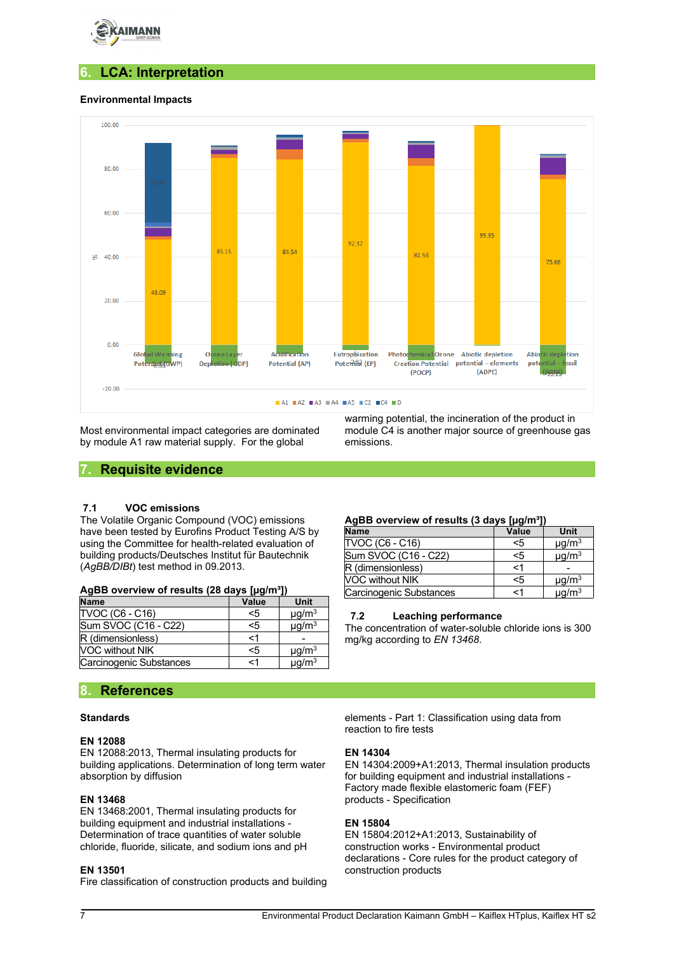

# **6. LCA: Interpretation**

## **Environmental Impacts**



Most environmental impact categories are dominated by module A1 raw material supply. For the global

warming potential, the incineration of the product in module C4 is another major source of greenhouse gas emissions.

## **7. Requisite evidence**

## **7.1 VOC emissions**

The Volatile Organic Compound (VOC) emissions have been tested by Eurofins Product Testing A/S by using the Committee for health-related evaluation of building products/Deutsches Institut für Bautechnik (*AgBB/DIBt*) test method in 09.2013.

| AgBB overview of results (28 days [µg/m <sup>3</sup> ]) |  |
|---------------------------------------------------------|--|
|---------------------------------------------------------|--|

| <b>Name</b>             | Value | Unit                   |
|-------------------------|-------|------------------------|
| <b>TVOC (C6 - C16)</b>  | $<$ 5 | $\mu$ g/m <sup>3</sup> |
| Sum SVOC (C16 - C22)    | <5    | $\mu$ g/m <sup>3</sup> |
| R (dimensionless)       | <1    |                        |
| <b>VOC without NIK</b>  | <5    | $\mu q/m^3$            |
| Carcinogenic Substances | <1    | $\mu$ g/m <sup>3</sup> |

## **8. References**

#### **Standards**

## **EN 12088**

EN 12088:2013, Thermal insulating products for building applications. Determination of long term water absorption by diffusion

#### **EN 13468**

EN 13468:2001, Thermal insulating products for building equipment and industrial installations - Determination of trace quantities of water soluble chloride, fluoride, silicate, and sodium ions and pH

#### **EN 13501**

Fire classification of construction products and building

#### **AgBB overview of results (3 days [µg/m³])**

| <b>Name</b>             | --<br>Value | Unit                   |
|-------------------------|-------------|------------------------|
| <b>TVOC (C6 - C16)</b>  | $5$         | $\mu$ g/m <sup>3</sup> |
| Sum SVOC (C16 - C22)    | $5$         | $\mu$ g/m <sup>3</sup> |
| R (dimensionless)       | $\leq$ 1    |                        |
| <b>NOC without NIK</b>  | $5$         | $\mu$ g/m <sup>3</sup> |
| Carcinogenic Substances | <1          | $\mu$ g/m <sup>3</sup> |

#### **7.2 Leaching performance**

The concentration of water-soluble chloride ions is 300 mg/kg according to *EN 13468*.

elements - Part 1: Classification using data from reaction to fire tests

#### **EN 14304**

EN 14304:2009+A1:2013, Thermal insulation products for building equipment and industrial installations - Factory made flexible elastomeric foam (FEF) products - Specification

#### **EN 15804**

EN 15804:2012+A1:2013, Sustainability of construction works - Environmental product declarations - Core rules for the product category of construction products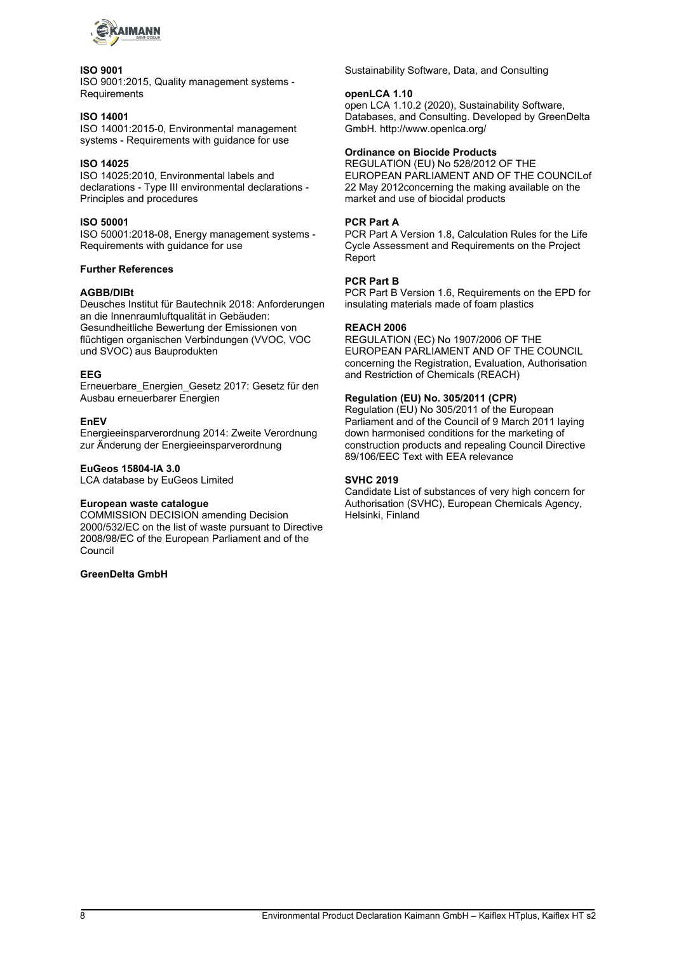

## **ISO 9001**

ISO 9001:2015, Quality management systems - **Requirements** 

## **ISO 14001**

ISO 14001:2015-0, Environmental management systems - Requirements with guidance for use

## **ISO 14025**

ISO 14025:2010, Environmental labels and declarations - Type III environmental declarations - Principles and procedures

## **ISO 50001**

ISO 50001:2018-08, Energy management systems - Requirements with guidance for use

## **Further References**

## **AGBB/DIBt**

Deusches Institut für Bautechnik 2018: Anforderungen an die Innenraumluftqualität in Gebäuden: Gesundheitliche Bewertung der Emissionen von flüchtigen organischen Verbindungen (VVOC, VOC und SVOC) aus Bauprodukten

### **EEG**

Erneuerbare\_Energien\_Gesetz 2017: Gesetz für den Ausbau erneuerbarer Energien

## **EnEV**

Energieeinsparverordnung 2014: Zweite Verordnung zur Änderung der Energieeinsparverordnung

## **EuGeos 15804-IA 3.0**

LCA database by EuGeos Limited

#### **European waste catalogue**

COMMISSION DECISION amending Decision 2000/532/EC on the list of waste pursuant to Directive 2008/98/EC of the European Parliament and of the Council

## **GreenDelta GmbH**

Sustainability Software, Data, and Consulting

#### **openLCA 1.10**

open LCA 1.10.2 (2020), Sustainability Software, Databases, and Consulting. Developed by GreenDelta GmbH. http://www.openlca.org/

## **Ordinance on Biocide Products**

REGULATION (EU) No 528/2012 OF THE EUROPEAN PARLIAMENT AND OF THE COUNCILof 22 May 2012concerning the making available on the market and use of biocidal products

### **PCR Part A**

PCR Part A Version 1.8, Calculation Rules for the Life Cycle Assessment and Requirements on the Project Report

## **PCR Part B**

PCR Part B Version 1.6, Requirements on the EPD for insulating materials made of foam plastics

### **REACH 2006**

REGULATION (EC) No 1907/2006 OF THE EUROPEAN PARLIAMENT AND OF THE COUNCIL concerning the Registration, Evaluation, Authorisation and Restriction of Chemicals (REACH)

## **Regulation (EU) No. 305/2011 (CPR)**

Regulation (EU) No 305/2011 of the European Parliament and of the Council of 9 March 2011 laying down harmonised conditions for the marketing of construction products and repealing Council Directive 89/106/EEC Text with EEA relevance

## **SVHC 2019**

Candidate List of substances of very high concern for Authorisation (SVHC), European Chemicals Agency, Helsinki, Finland